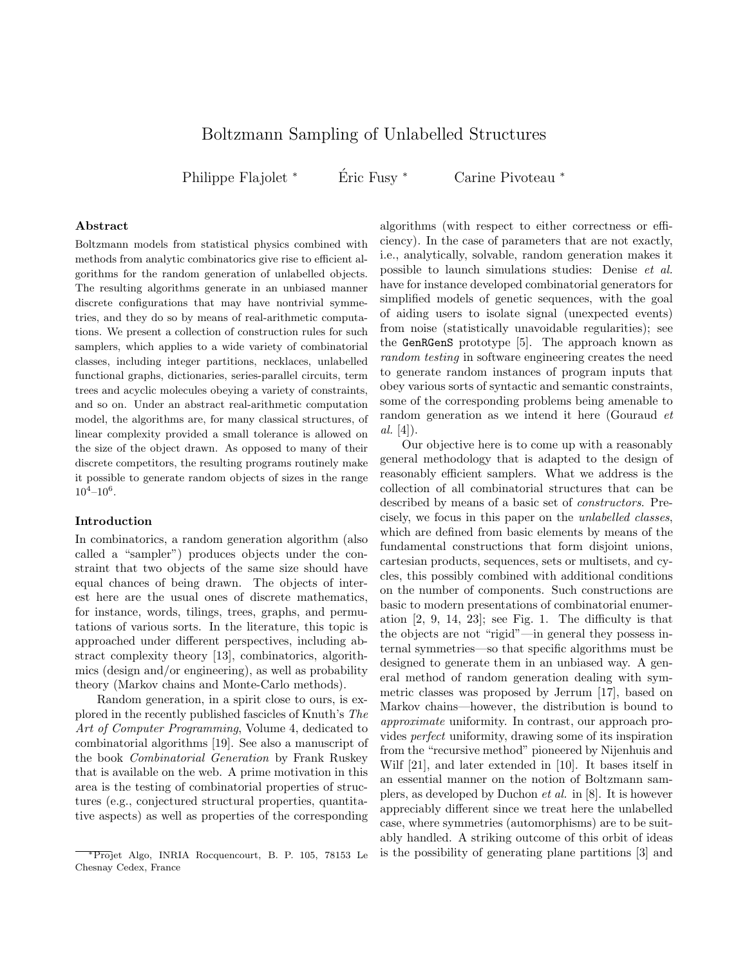# Boltzmann Sampling of Unlabelled Structures

Philippe Flajolet \* Éric Fusy \* Carine Pivoteau \*

## Abstract

Boltzmann models from statistical physics combined with methods from analytic combinatorics give rise to efficient algorithms for the random generation of unlabelled objects. The resulting algorithms generate in an unbiased manner discrete configurations that may have nontrivial symmetries, and they do so by means of real-arithmetic computations. We present a collection of construction rules for such samplers, which applies to a wide variety of combinatorial classes, including integer partitions, necklaces, unlabelled functional graphs, dictionaries, series-parallel circuits, term trees and acyclic molecules obeying a variety of constraints, and so on. Under an abstract real-arithmetic computation model, the algorithms are, for many classical structures, of linear complexity provided a small tolerance is allowed on the size of the object drawn. As opposed to many of their discrete competitors, the resulting programs routinely make it possible to generate random objects of sizes in the range  $10^4 - 10^6$ .

## Introduction

In combinatorics, a random generation algorithm (also called a "sampler") produces objects under the constraint that two objects of the same size should have equal chances of being drawn. The objects of interest here are the usual ones of discrete mathematics, for instance, words, tilings, trees, graphs, and permutations of various sorts. In the literature, this topic is approached under different perspectives, including abstract complexity theory [13], combinatorics, algorithmics (design and/or engineering), as well as probability theory (Markov chains and Monte-Carlo methods).

Random generation, in a spirit close to ours, is explored in the recently published fascicles of Knuth's The Art of Computer Programming, Volume 4, dedicated to combinatorial algorithms [19]. See also a manuscript of the book Combinatorial Generation by Frank Ruskey that is available on the web. A prime motivation in this area is the testing of combinatorial properties of structures (e.g., conjectured structural properties, quantitative aspects) as well as properties of the corresponding

algorithms (with respect to either correctness or efficiency). In the case of parameters that are not exactly, i.e., analytically, solvable, random generation makes it possible to launch simulations studies: Denise et al. have for instance developed combinatorial generators for simplified models of genetic sequences, with the goal of aiding users to isolate signal (unexpected events) from noise (statistically unavoidable regularities); see the GenRGenS prototype [5]. The approach known as random testing in software engineering creates the need to generate random instances of program inputs that obey various sorts of syntactic and semantic constraints, some of the corresponding problems being amenable to random generation as we intend it here (Gouraud et  $al. [4]$ .

Our objective here is to come up with a reasonably general methodology that is adapted to the design of reasonably efficient samplers. What we address is the collection of all combinatorial structures that can be described by means of a basic set of constructors. Precisely, we focus in this paper on the unlabelled classes, which are defined from basic elements by means of the fundamental constructions that form disjoint unions, cartesian products, sequences, sets or multisets, and cycles, this possibly combined with additional conditions on the number of components. Such constructions are basic to modern presentations of combinatorial enumeration [2, 9, 14, 23]; see Fig. 1. The difficulty is that the objects are not "rigid"—in general they possess internal symmetries—so that specific algorithms must be designed to generate them in an unbiased way. A general method of random generation dealing with symmetric classes was proposed by Jerrum [17], based on Markov chains—however, the distribution is bound to approximate uniformity. In contrast, our approach provides perfect uniformity, drawing some of its inspiration from the "recursive method" pioneered by Nijenhuis and Wilf [21], and later extended in [10]. It bases itself in an essential manner on the notion of Boltzmann samplers, as developed by Duchon et al. in [8]. It is however appreciably different since we treat here the unlabelled case, where symmetries (automorphisms) are to be suitably handled. A striking outcome of this orbit of ideas is the possibility of generating plane partitions [3] and

<sup>∗</sup>Projet Algo, INRIA Rocquencourt, B. P. 105, 78153 Le Chesnay Cedex, France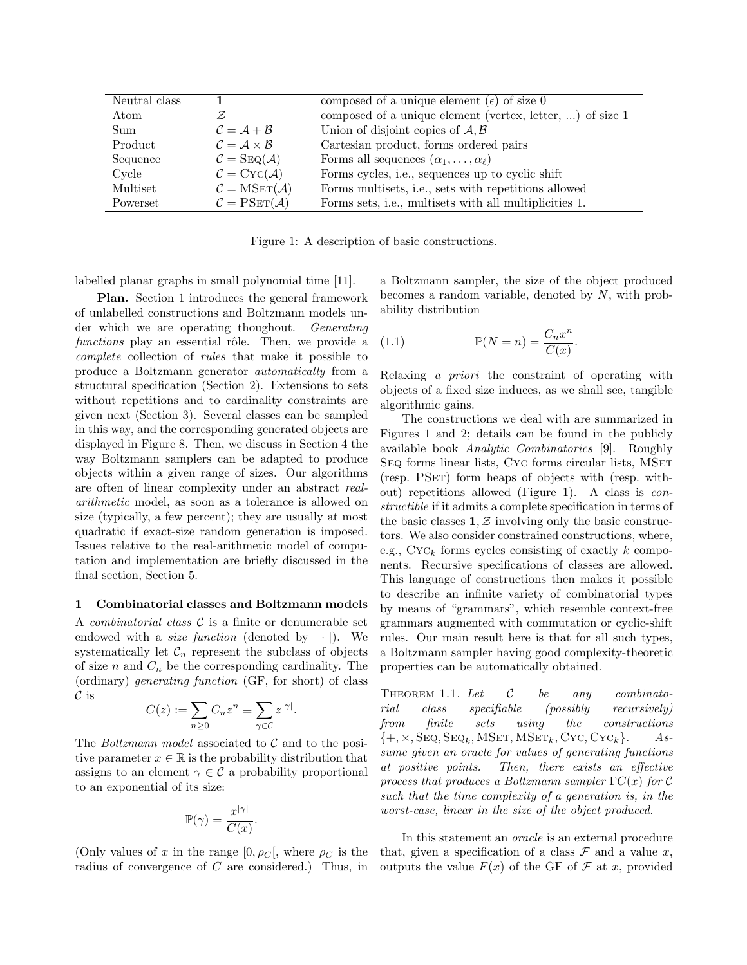| Neutral class |                                                | composed of a unique element ( $\epsilon$ ) of size 0     |
|---------------|------------------------------------------------|-----------------------------------------------------------|
| Atom          |                                                | composed of a unique element (vertex, letter, ) of size 1 |
| Sum           | $\mathcal{C} = \mathcal{A} + \mathcal{B}$      | Union of disjoint copies of $A, B$                        |
| Product       | $\mathcal{C} = \mathcal{A} \times \mathcal{B}$ | Cartesian product, forms ordered pairs                    |
| Sequence      | $\mathcal{C} = \text{Seq}(\mathcal{A})$        | Forms all sequences $(\alpha_1, \ldots, \alpha_\ell)$     |
| Cycle         | $\mathcal{C} = \text{Cyc}(\mathcal{A})$        | Forms cycles, i.e., sequences up to cyclic shift          |
| Multiset      | $\mathcal{C} = \text{MSET}(\mathcal{A})$       | Forms multisets, i.e., sets with repetitions allowed      |
| Powerset      | $\mathcal{C} = \mathrm{PSET}(\mathcal{A})$     | Forms sets, i.e., multisets with all multiplicities 1.    |

Figure 1: A description of basic constructions.

labelled planar graphs in small polynomial time [11].

Plan. Section 1 introduces the general framework of unlabelled constructions and Boltzmann models under which we are operating thoughout. Generating functions play an essential rôle. Then, we provide a complete collection of rules that make it possible to produce a Boltzmann generator automatically from a structural specification (Section 2). Extensions to sets without repetitions and to cardinality constraints are given next (Section 3). Several classes can be sampled in this way, and the corresponding generated objects are displayed in Figure 8. Then, we discuss in Section 4 the way Boltzmann samplers can be adapted to produce objects within a given range of sizes. Our algorithms are often of linear complexity under an abstract realarithmetic model, as soon as a tolerance is allowed on size (typically, a few percent); they are usually at most quadratic if exact-size random generation is imposed. Issues relative to the real-arithmetic model of computation and implementation are briefly discussed in the final section, Section 5.

#### 1 Combinatorial classes and Boltzmann models

A *combinatorial class*  $C$  is a finite or denumerable set endowed with a *size function* (denoted by  $|\cdot|$ ). We systematically let  $\mathcal{C}_n$  represent the subclass of objects of size  $n$  and  $C_n$  be the corresponding cardinality. The (ordinary) generating function (GF, for short) of class  $\mathcal C$  is

$$
C(z) := \sum_{n\geq 0} C_n z^n \equiv \sum_{\gamma \in \mathcal{C}} z^{|\gamma|}.
$$

The *Boltzmann model* associated to  $C$  and to the positive parameter  $x \in \mathbb{R}$  is the probability distribution that assigns to an element  $\gamma \in \mathcal{C}$  a probability proportional to an exponential of its size:

$$
\mathbb{P}(\gamma) = \frac{x^{|\gamma|}}{C(x)}
$$

.

(Only values of x in the range  $[0, \rho_C]$ , where  $\rho_C$  is the radius of convergence of C are considered.) Thus, in a Boltzmann sampler, the size of the object produced becomes a random variable, denoted by  $N$ , with probability distribution

(1.1) 
$$
\mathbb{P}(N=n) = \frac{C_n x^n}{C(x)}.
$$

Relaxing a priori the constraint of operating with objects of a fixed size induces, as we shall see, tangible algorithmic gains.

The constructions we deal with are summarized in Figures 1 and 2; details can be found in the publicly available book Analytic Combinatorics [9]. Roughly SEQ forms linear lists, CYC forms circular lists, MSET (resp. PSET) form heaps of objects with (resp. without) repetitions allowed (Figure 1). A class is constructible if it admits a complete specification in terms of the basic classes  $1, Z$  involving only the basic constructors. We also consider constrained constructions, where, e.g.,  $\mathrm{Cyc}_k$  forms cycles consisting of exactly k components. Recursive specifications of classes are allowed. This language of constructions then makes it possible to describe an infinite variety of combinatorial types by means of "grammars", which resemble context-free grammars augmented with commutation or cyclic-shift rules. Our main result here is that for all such types, a Boltzmann sampler having good complexity-theoretic properties can be automatically obtained.

THEOREM 1.1. Let  $\mathcal{C}$  be any combinatorial class specifiable (possibly recursively) from finite sets using the constructions  $\{+, \times, \text{Seq}, \text{Seq}_k, \text{MSET}, \text{MSET}_k, \text{CYC}, \text{CYC}_k\}.$  Assume given an oracle for values of generating functions at positive points. Then, there exists an effective process that produces a Boltzmann sampler  $\Gamma C(x)$  for C such that the time complexity of a generation is, in the worst-case, linear in the size of the object produced.

In this statement an oracle is an external procedure that, given a specification of a class  $\mathcal F$  and a value x, outputs the value  $F(x)$  of the GF of  $\mathcal F$  at x, provided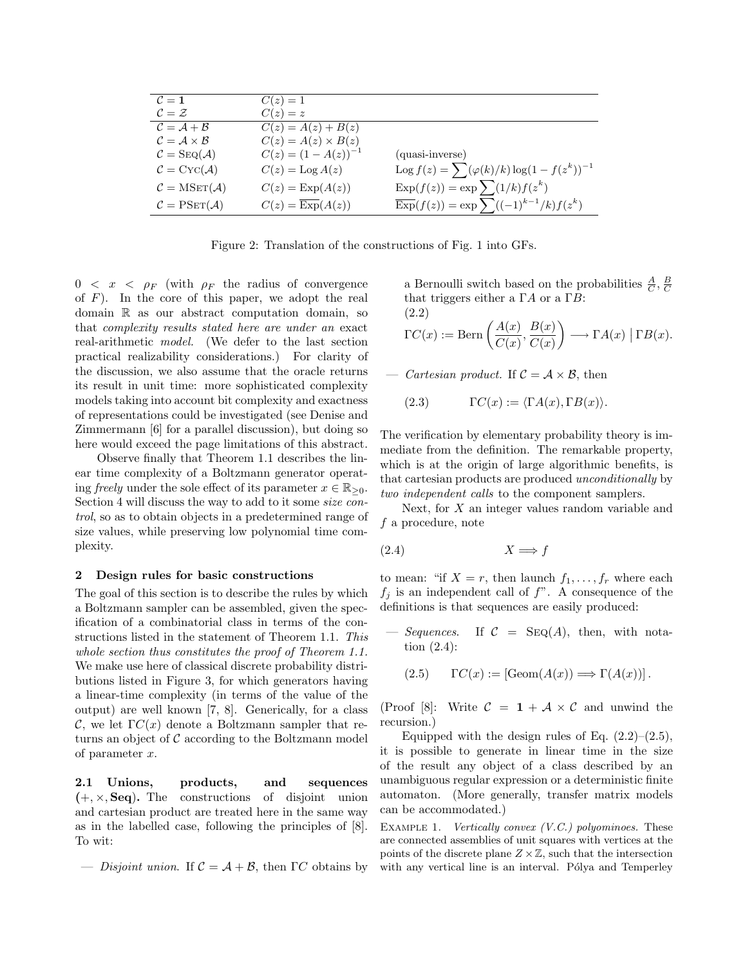| $\mathcal{C}=1$                                | $C(z)=1$                             |                                                                   |
|------------------------------------------------|--------------------------------------|-------------------------------------------------------------------|
| $\mathcal{C} = \mathcal{Z}$                    | $C(z) = z$                           |                                                                   |
| $\mathcal{C} = \mathcal{A} + \mathcal{B}$      | $C(z) = A(z) + B(z)$                 |                                                                   |
| $\mathcal{C} = \mathcal{A} \times \mathcal{B}$ | $C(z) = A(z) \times B(z)$            |                                                                   |
| $\mathcal{C} = \text{Seq}(\mathcal{A})$        | $C(z) = (1 - A(z))^{-1}$             | (quasi-inverse)                                                   |
| $\mathcal{C} = \text{Cyc}(\mathcal{A})$        | $C(z) = \text{Log } A(z)$            | $\log f(z) = \sum (\varphi(k)/k) \log(1 - f(z^k))^{-1}$           |
| $\mathcal{C} = \text{MSET}(\mathcal{A})$       | $C(z) = \text{Exp}(A(z))$            | $\text{Exp}(f(z)) = \exp \sum (1/k) f(z^k)$                       |
| $C = PSET(\mathcal{A})$                        | $C(z) = \overline{\text{Exp}}(A(z))$ | $\overline{\mathrm{Exp}}(f(z)) = \exp \sum ((-1)^{k-1}/k) f(z^k)$ |

Figure 2: Translation of the constructions of Fig. 1 into GFs.

 $0 < x < \rho_F$  (with  $\rho_F$  the radius of convergence of  $F$ ). In the core of this paper, we adopt the real domain R as our abstract computation domain, so that complexity results stated here are under an exact real-arithmetic model. (We defer to the last section practical realizability considerations.) For clarity of the discussion, we also assume that the oracle returns its result in unit time: more sophisticated complexity models taking into account bit complexity and exactness of representations could be investigated (see Denise and Zimmermann [6] for a parallel discussion), but doing so here would exceed the page limitations of this abstract.

Observe finally that Theorem 1.1 describes the linear time complexity of a Boltzmann generator operating freely under the sole effect of its parameter  $x \in \mathbb{R}_{\geq 0}$ . Section 4 will discuss the way to add to it some size control, so as to obtain objects in a predetermined range of size values, while preserving low polynomial time complexity.

#### 2 Design rules for basic constructions

The goal of this section is to describe the rules by which a Boltzmann sampler can be assembled, given the specification of a combinatorial class in terms of the constructions listed in the statement of Theorem 1.1. This whole section thus constitutes the proof of Theorem 1.1. We make use here of classical discrete probability distributions listed in Figure 3, for which generators having a linear-time complexity (in terms of the value of the output) are well known [7, 8]. Generically, for a class C, we let  $\Gamma C(x)$  denote a Boltzmann sampler that returns an object of  $\mathcal C$  according to the Boltzmann model of parameter x.

2.1 Unions, products, and sequences  $(+, \times, \text{Seq})$ . The constructions of disjoint union and cartesian product are treated here in the same way as in the labelled case, following the principles of [8]. To wit:

— Disjoint union. If  $\mathcal{C} = \mathcal{A} + \mathcal{B}$ , then  $\Gamma C$  obtains by

a Bernoulli switch based on the probabilities  $\frac{A}{C}$ ,  $\frac{B}{C}$ that triggers either a  $\Gamma A$  or a  $\Gamma B$ : (2.2)

$$
\Gamma C(x) := \text{Bern}\left(\frac{A(x)}{C(x)}, \frac{B(x)}{C(x)}\right) \longrightarrow \Gamma A(x) | \Gamma B(x).
$$

Cartesian product. If  $C = A \times B$ , then

(2.3) 
$$
\Gamma C(x) := \langle \Gamma A(x), \Gamma B(x) \rangle.
$$

The verification by elementary probability theory is immediate from the definition. The remarkable property, which is at the origin of large algorithmic benefits, is that cartesian products are produced unconditionally by two independent calls to the component samplers.

Next, for  $X$  an integer values random variable and f a procedure, note

$$
(2.4) \t\t X \Longrightarrow f
$$

to mean: "if  $X = r$ , then launch  $f_1, \ldots, f_r$  where each  $f_j$  is an independent call of  $f$ ". A consequence of the definitions is that sequences are easily produced:

 $-$  Sequences. If  $C = \text{Seq}(A)$ , then, with notation (2.4):

$$
(2.5) \t\Gamma C(x) := \left[ \text{Geom}(A(x)) \Longrightarrow \Gamma(A(x)) \right].
$$

(Proof [8]: Write  $C = 1 + A \times C$  and unwind the recursion.)

Equipped with the design rules of Eq.  $(2.2)$ – $(2.5)$ , it is possible to generate in linear time in the size of the result any object of a class described by an unambiguous regular expression or a deterministic finite automaton. (More generally, transfer matrix models can be accommodated.)

EXAMPLE 1. *Vertically convex*  $(V.C.)$  *polyominoes.* These are connected assemblies of unit squares with vertices at the points of the discrete plane  $Z \times \mathbb{Z}$ , such that the intersection with any vertical line is an interval. Pólya and Temperley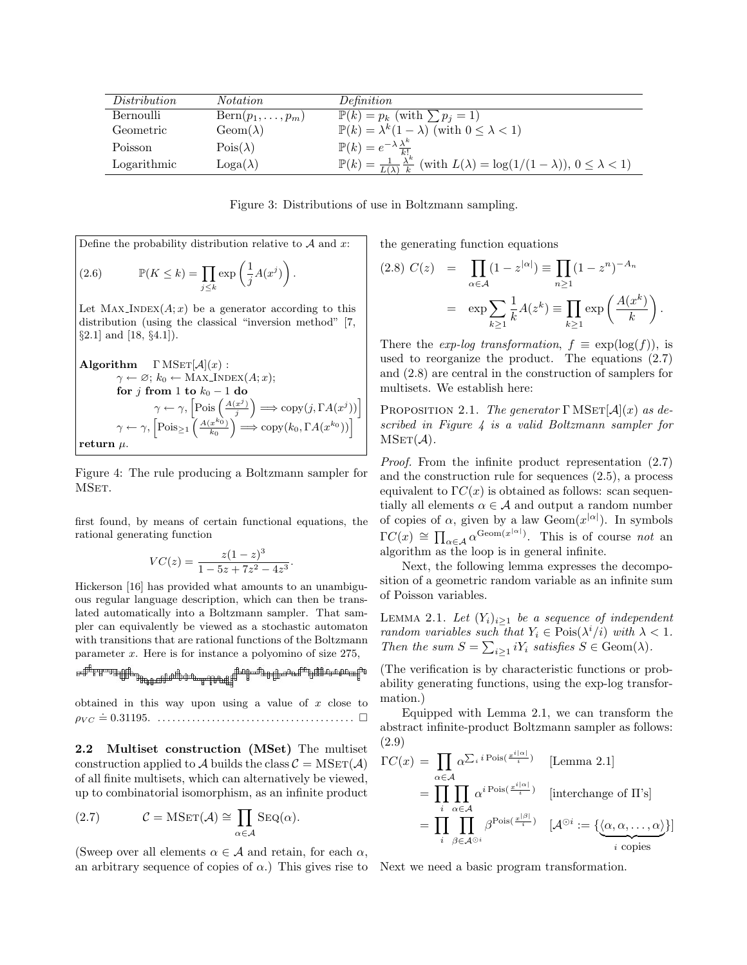| Distribution | <i>Notation</i>               | Definition                                                                                                                |
|--------------|-------------------------------|---------------------------------------------------------------------------------------------------------------------------|
| Bernoulli    | $\text{Bern}(p_1,\ldots,p_m)$ | $\mathbb{P}(k) = p_k$ (with $\sum p_i = 1$ )                                                                              |
| Geometric    | $Geom(\lambda)$               | $\mathbb{P}(k) = \lambda^k (1 - \lambda)$ (with $0 \leq \lambda < 1$ )                                                    |
| Poisson      | $\mathrm{Pois}(\lambda)$      | $\mathbb{P}(k) = e^{-\lambda} \frac{\lambda^k}{k!}$                                                                       |
| Logarithmic  | $Loga(\lambda)$               | $\mathbb{P}(k) = \frac{1}{L(\lambda)} \frac{\lambda^k}{k}$ (with $L(\lambda) = \log(1/(1-\lambda)), 0 \leq \lambda < 1$ ) |

Figure 3: Distributions of use in Boltzmann sampling.

Define the probability distribution relative to  $A$  and  $x$ :  $(2.6)$   $\mathbb{P}(K \leq k) = \prod$  $\exp\left( \frac{1}{2} \right)$  $\frac{1}{j}A(x^j)\bigg)$  .

j≤k

Let  $MAX\_INDEX(A; x)$  be a generator according to this distribution (using the classical "inversion method" [7, §2.1] and [18, §4.1]).

Algorithm 
$$
\Gamma
$$
 MSET[A](x):  
\n $\gamma \leftarrow \varnothing$ ;  $k_0 \leftarrow$  MAX-InDEX(A; x);  
\nfor j from 1 to  $k_0 - 1$  do  
\n $\gamma \leftarrow \gamma$ ,  $\left[\text{Pois}\left(\frac{A(x^j)}{j}\right) \Longrightarrow \text{copy}(j, \Gamma A(x^j))\right]$   
\n $\gamma \leftarrow \gamma$ ,  $\left[\text{Pois}_{\geq 1}\left(\frac{A(x^{k_0})}{k_0}\right) \Longrightarrow \text{copy}(k_0, \Gamma A(x^{k_0}))\right]$   
\nreturn  $\mu$ .

Figure 4: The rule producing a Boltzmann sampler for MSET.

first found, by means of certain functional equations, the rational generating function

$$
VC(z) = \frac{z(1-z)^3}{1-5z+7z^2-4z^3}
$$

.

Hickerson [16] has provided what amounts to an unambiguous regular language description, which can then be translated automatically into a Boltzmann sampler. That sampler can equivalently be viewed as a stochastic automaton with transitions that are rational functions of the Boltzmann parameter x. Here is for instance a polyomino of size 275,

obtained in this way upon using a value of  $x$  close to ρV C .= 0.31195. . . . . . . . . . . . . . . . . . . . . . . . . . . . . . . . . . . . . . . . .

2.2 Multiset construction (MSet) The multiset construction applied to A builds the class  $C = \text{MSET}(\mathcal{A})$ of all finite multisets, which can alternatively be viewed, up to combinatorial isomorphism, as an infinite product

(2.7) 
$$
\mathcal{C} = \text{MSET}(\mathcal{A}) \cong \prod_{\alpha \in \mathcal{A}} \text{SEQ}(\alpha).
$$

(Sweep over all elements  $\alpha \in \mathcal{A}$  and retain, for each  $\alpha$ , an arbitrary sequence of copies of  $\alpha$ .) This gives rise to Next we need a basic program transformation.

the generating function equations

$$
(2.8) C(z) = \prod_{\alpha \in \mathcal{A}} (1 - z^{|\alpha|}) \equiv \prod_{n \ge 1} (1 - z^n)^{-A_n}
$$

$$
= \exp \sum_{k \ge 1} \frac{1}{k} A(z^k) \equiv \prod_{k \ge 1} \exp \left( \frac{A(x^k)}{k} \right).
$$

There the *exp-loq transformation*,  $f \equiv \exp(\log(f))$ , is used to reorganize the product. The equations (2.7) and (2.8) are central in the construction of samplers for multisets. We establish here:

PROPOSITION 2.1. The generator  $\Gamma$  MSET $[\mathcal{A}](x)$  as described in Figure 4 is a valid Boltzmann sampler for  $MSET(\mathcal{A}).$ 

Proof. From the infinite product representation (2.7) and the construction rule for sequences (2.5), a process equivalent to  $\Gamma C(x)$  is obtained as follows: scan sequentially all elements  $\alpha \in \mathcal{A}$  and output a random number of copies of  $\alpha$ , given by a law Geom $(x^{|\alpha|})$ . In symbols  $\Gamma C(x) \cong \prod_{\alpha \in A} \alpha^{\text{Geom}(x^{|\alpha|})}$ . This is of course not an algorithm as the loop is in general infinite.

Next, the following lemma expresses the decomposition of a geometric random variable as an infinite sum of Poisson variables.

LEMMA 2.1. Let  $(Y_i)_{i\geq 1}$  be a sequence of independent random variables such that  $Y_i \in \text{Pois}(\lambda^i/i)$  with  $\lambda < 1$ . Then the sum  $S = \sum_{i \geq 1} iY_i$  satisfies  $S \in \text{Geom}(\lambda)$ .

(The verification is by characteristic functions or probability generating functions, using the exp-log transformation.)

Equipped with Lemma 2.1, we can transform the abstract infinite-product Boltzmann sampler as follows: (2.9)

$$
\Gamma C(x) = \prod_{\alpha \in A} \alpha^{\sum_i i \operatorname{Pois}(\frac{x^{i|\alpha|}}{i})} \qquad \text{[Lemma 2.1]}
$$
\n
$$
= \prod_{i} \prod_{\alpha \in A} \alpha^{i \operatorname{Pois}(\frac{x^{i|\alpha|}}{i})} \qquad \text{[interchange of II's]}
$$
\n
$$
= \prod_{i} \prod_{\beta \in A^{\odot i}} \beta^{\operatorname{Pois}(\frac{x^{|\beta|}}{i})} \qquad [\mathcal{A}^{\odot i} := {\{\alpha, \alpha, \dots, \alpha\}}\}]
$$
\nis copies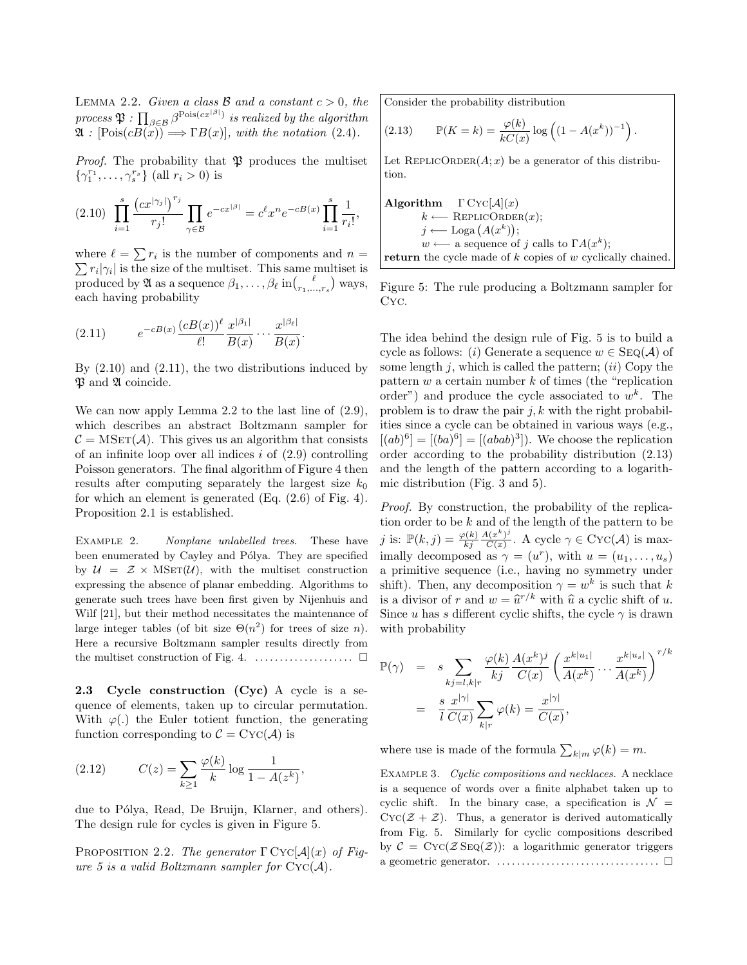LEMMA 2.2. Given a class  $\beta$  and a constant  $c > 0$ , the process  $\mathfrak{P}:\prod_{\beta\in\mathcal{B}}\beta^{\text{Pois}(cx^{\lfloor\beta\rfloor})}$  is realized by the algorithm  $\mathfrak{A}: [\mathrm{Pois}(cB(x)) \Longrightarrow \Gamma B(x)],$  with the notation (2.4).

*Proof.* The probability that  $\mathfrak{B}$  produces the multiset  $\{\gamma_1^{r_1}, \ldots, \gamma_s^{r_s}\}$  (all  $r_i > 0$ ) is

$$
(2.10) \ \prod_{i=1}^{s} \frac{(cx^{|\gamma_j|})^{r_j}}{r_j!} \prod_{\gamma \in \mathcal{B}} e^{-cx^{|\beta|}} = c^{\ell} x^n e^{-cB(x)} \prod_{i=1}^{s} \frac{1}{r_i!},
$$

where  $\ell = \sum r_i$  is the number of components and  $n =$  $\sum r_i |\gamma_i|$  is the size of the multiset. This same multiset is produced by  $\mathfrak A$  as a sequence  $\beta_1, \ldots, \beta_\ell$  in $\binom{\ell}{r_1, \ldots, r_s}$  ways, each having probability

(2.11) 
$$
e^{-cB(x)} \frac{(cB(x))^\ell}{\ell!} \frac{x^{|\beta_1|}}{B(x)} \cdots \frac{x^{|\beta_\ell|}}{B(x)}.
$$

By  $(2.10)$  and  $(2.11)$ , the two distributions induced by  $\mathfrak P$  and  $\mathfrak A$  coincide.

We can now apply Lemma 2.2 to the last line of (2.9), which describes an abstract Boltzmann sampler for  $C = \text{MSET}(\mathcal{A})$ . This gives us an algorithm that consists of an infinite loop over all indices  $i$  of  $(2.9)$  controlling Poisson generators. The final algorithm of Figure 4 then results after computing separately the largest size  $k_0$ for which an element is generated (Eq. (2.6) of Fig. 4). Proposition 2.1 is established.

EXAMPLE 2. Nonplane unlabelled trees. These have been enumerated by Cayley and Pólya. They are specified by  $\mathcal{U} = \mathcal{Z} \times \text{MSET}(\mathcal{U})$ , with the multiset construction expressing the absence of planar embedding. Algorithms to generate such trees have been first given by Nijenhuis and Wilf [21], but their method necessitates the maintenance of large integer tables (of bit size  $\Theta(n^2)$  for trees of size *n*). Here a recursive Boltzmann sampler results directly from the multiset construction of Fig. 4.  $\dots$ . . . . . . . . . . . . .  $\square$ 

2.3 Cycle construction (Cyc) A cycle is a sequence of elements, taken up to circular permutation. With  $\varphi(.)$  the Euler totient function, the generating function corresponding to  $C = \text{Cyc}(\mathcal{A})$  is

(2.12) 
$$
C(z) = \sum_{k \ge 1} \frac{\varphi(k)}{k} \log \frac{1}{1 - A(z^k)},
$$

due to Pólya, Read, De Bruijn, Klarner, and others). The design rule for cycles is given in Figure 5.

PROPOSITION 2.2. The generator  $\Gamma \text{Cyc}[A](x)$  of Figure 5 is a valid Boltzmann sampler for  $\text{Cyc}(\mathcal{A})$ .

Consider the probability distribution

(2.13) 
$$
\mathbb{P}(K = k) = \frac{\varphi(k)}{kC(x)} \log \left( (1 - A(x^k))^{-1} \right).
$$

Let REPLICORDER $(A; x)$  be a generator of this distribution.

**Algorithm** 
$$
\Gamma
$$
 CYC[ $\mathcal{A}](x)$   
\n $k \leftarrow \text{REPLICORDER}(x);$   
\n $j \leftarrow \text{Loga}(A(x^k));$   
\n $w \leftarrow$  a sequence of *j* calls to  $\Gamma A(x^k);$   
\nreturn the cycle made of *k* copies of *w* cyclically chained.

Figure 5: The rule producing a Boltzmann sampler for Cyc.

The idea behind the design rule of Fig. 5 is to build a cycle as follows: (i) Generate a sequence  $w \in \text{Seq}(\mathcal{A})$  of some length  $j$ , which is called the pattern; *(ii)* Copy the pattern  $w$  a certain number  $k$  of times (the "replication") order") and produce the cycle associated to  $w^k$ . The problem is to draw the pair  $j, k$  with the right probabilities since a cycle can be obtained in various ways (e.g.,  $[(ab)^6] = [(ba)^6] = [(abab)^3]$ . We choose the replication order according to the probability distribution (2.13) and the length of the pattern according to a logarithmic distribution (Fig. 3 and 5).

Proof. By construction, the probability of the replication order to be  $k$  and of the length of the pattern to be j is:  $\mathbb{P}(k,j) = \frac{\varphi(k)}{kj}$  $A(x^k)^j$  $\frac{\Lambda(x^k)^j}{C(x)}$ . A cycle  $\gamma \in \text{Cyc}(\mathcal{A})$  is maximally decomposed as  $\gamma = (u^r)$ , with  $u = (u_1, \ldots, u_s)$ a primitive sequence (i.e., having no symmetry under shift). Then, any decomposition  $\gamma = w^k$  is such that k is a divisor of r and  $w = \hat{u}^{r/k}$  with  $\hat{u}$  a cyclic shift of u.<br>Since u has a different quality the avele  $\alpha$  is drawn Since u has s different cyclic shifts, the cycle  $\gamma$  is drawn with probability

$$
\mathbb{P}(\gamma) = s \sum_{kj=l,k|r} \frac{\varphi(k)}{kj} \frac{A(x^k)^j}{C(x)} \left(\frac{x^{k|u_1|}}{A(x^k)} \cdots \frac{x^{k|u_s|}}{A(x^k)}\right)^{r/k}
$$

$$
= \frac{s}{l} \frac{x^{|\gamma|}}{C(x)} \sum_{k|r} \varphi(k) = \frac{x^{|\gamma|}}{C(x)},
$$

where use is made of the formula  $\sum_{k|m} \varphi(k) = m$ .

EXAMPLE 3. Cyclic compositions and necklaces. A necklace is a sequence of words over a finite alphabet taken up to cyclic shift. In the binary case, a specification is  $\mathcal{N} =$  $Cyc(\mathcal{Z} + \mathcal{Z})$ . Thus, a generator is derived automatically from Fig. 5. Similarly for cyclic compositions described by  $C = \text{Cyc}(\mathcal{Z} \text{Seq}(\mathcal{Z}))$ : a logarithmic generator triggers a geometric generator.  $\dots \dots \dots \dots \dots \dots \dots \dots \dots \square$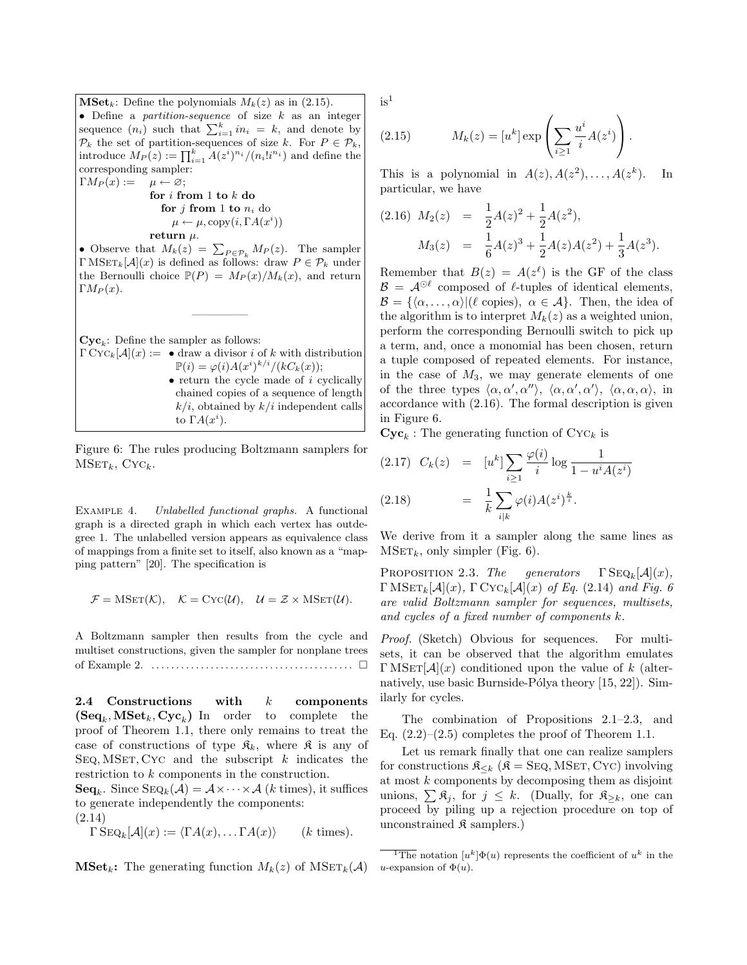$\mathbf{MSet}_k$ : Define the polynomials  $M_k(z)$  as in (2.15). • Define a *partition-sequence* of size  $k$  as an integer sequence  $(n_i)$  such that  $\sum_{i=1}^{k} in_i = k$ , and denote by  $\mathcal{P}_k$  the set of partition-sequences of size k. For  $P \in \mathcal{P}_k$ , introduce  $M_P(z) := \prod_{i=1}^k A(z^i)^{n_i} / (n_i! i^{n_i})$  and define the corresponding sampler:  $\Gamma M_P(x) := \mu \leftarrow \varnothing;$ 

for  $i$  from 1 to  $k$  do for  $j$  from 1 to  $n_i$  do  $\mu \leftarrow \mu$ , copy $(i, \Gamma A(x^i))$ return  $\mu$ .

• Observe that  $M_k(z) = \sum_{P \in \mathcal{P}_k} M_P(z)$ . The sampler  $\Gamma \text{MSET}_k[\mathcal{A}](x)$  is defined as follows: draw  $P \in \mathcal{P}_k$  under the Bernoulli choice  $\mathbb{P}(P) = M_P(x)/M_k(x)$ , and return  $\Gamma M_P(x)$ .

—————

 $\mathbf{Cyc}_k$ : Define the sampler as follows:

 $\Gamma \text{Cyc}_k[\mathcal{A}](x) := \bullet$  draw a divisor i of k with distribution  $\mathbb{P}(i) = \varphi(i) A(x^i)^{k/i} / (kC_k(x));$  $\bullet$  return the cycle made of  $i$  cyclically chained copies of a sequence of length  $k/i$ , obtained by  $k/i$  independent calls to  $\Gamma A(x^i)$ .

Figure 6: The rules producing Boltzmann samplers for  $MSET_k$ , Cyc<sub>k</sub>.

EXAMPLE 4. Unlabelled functional graphs. A functional graph is a directed graph in which each vertex has outdegree 1. The unlabelled version appears as equivalence class of mappings from a finite set to itself, also known as a "mapping pattern" [20]. The specification is

$$
\mathcal{F} = \text{MSET}(\mathcal{K}), \quad \mathcal{K} = \text{Cyc}(\mathcal{U}), \quad \mathcal{U} = \mathcal{Z} \times \text{MSET}(\mathcal{U}).
$$

A Boltzmann sampler then results from the cycle and multiset constructions, given the sampler for nonplane trees of Example 2. . . . . . . . . . . . . . . . . . . . . . . . . . . . . . . . . . . . . . . . . .

2.4 Constructions with k components  $(\mathbf{Seq}_k, \mathbf{MSet}_k, \mathbf{Cyc}_k)$  In order to complete the proof of Theorem 1.1, there only remains to treat the case of constructions of type  $\mathfrak{K}_k$ , where  $\mathfrak{K}$  is any of SEQ, MSET, CYC and the subscript  $k$  indicates the restriction to k components in the construction.

 $\mathbf{Seq}_k$ . Since  $\text{Seq}_k(\overline{A}) = A \times \cdots \times A$  (*k* times), it suffices to generate independently the components:

(2.14)

$$
\Gamma \overline{\text{Seq}_k}[\mathcal{A}](x) := \langle \Gamma A(x), \dots \Gamma A(x) \rangle \qquad (k \text{ times}).
$$

**MSet<sub>k</sub>:** The generating function  $M_k(z)$  of  $MSET_k(\mathcal{A})$ 

 $is<sup>1</sup>$ 

(2.15) 
$$
M_k(z) = [u^k] \exp\left(\sum_{i\geq 1} \frac{u^i}{i} A(z^i)\right).
$$

This is a polynomial in  $A(z)$ ,  $A(z^2)$ , ...,  $A(z^k)$ ). In particular, we have

$$
(2.16) \ M_2(z) = \frac{1}{2}A(z)^2 + \frac{1}{2}A(z^2),
$$
  

$$
M_3(z) = \frac{1}{6}A(z)^3 + \frac{1}{2}A(z)A(z^2) + \frac{1}{3}A(z^3).
$$

Remember that  $B(z) = A(z^{\ell})$  is the GF of the class  $\mathcal{B} = \mathcal{A}^{\odot \ell}$  composed of  $\ell$ -tuples of identical elements,  $\mathcal{B} = {\langle \alpha, \ldots, \alpha \rangle | (\ell \text{ copies}), \ \alpha \in \mathcal{A}}.$  Then, the idea of the algorithm is to interpret  $M_k(z)$  as a weighted union, perform the corresponding Bernoulli switch to pick up a term, and, once a monomial has been chosen, return a tuple composed of repeated elements. For instance, in the case of  $M_3$ , we may generate elements of one of the three types  $\langle \alpha, \alpha', \alpha'' \rangle$ ,  $\langle \alpha, \alpha', \alpha' \rangle$ ,  $\langle \alpha, \alpha, \alpha \rangle$ , in accordance with (2.16). The formal description is given in Figure 6.

 $\mathbf{Cyc}_k$ : The generating function of  $\mathrm{Cyc}_k$  is

$$
(2.17) \quad C_k(z) = [u^k] \sum_{i \ge 1} \frac{\varphi(i)}{i} \log \frac{1}{1 - u^i A(z^i)}
$$

$$
(2.18) = \frac{1}{k} \sum_{i|k} \varphi(i) A(z^i)^{\frac{k}{i}}.
$$

We derive from it a sampler along the same lines as  $MSET_k$ , only simpler (Fig. 6).

PROPOSITION 2.3. The generators  $\Gamma \text{Seq}_k[\mathcal{A}](x)$ ,  $\Gamma \text{MSET}_k[\mathcal{A}](x)$ ,  $\Gamma \text{Cyc}_k[\mathcal{A}](x)$  of Eq. (2.14) and Fig. 6 are valid Boltzmann sampler for sequences, multisets, and cycles of a fixed number of components  $k$ .

Proof. (Sketch) Obvious for sequences. For multisets, it can be observed that the algorithm emulates  $\Gamma$ MSET $[\mathcal{A}](x)$  conditioned upon the value of k (alternatively, use basic Burnside-Pólya theory  $[15, 22]$ ). Similarly for cycles.

The combination of Propositions 2.1–2.3, and Eq.  $(2.2)$ – $(2.5)$  completes the proof of Theorem 1.1.

Let us remark finally that one can realize samplers for constructions  $\mathfrak{K}_{\leq k}$  ( $\mathfrak{K} =$  SEQ, MSET, CYC) involving at most k components by decomposing them as disjoint unions,  $\sum \mathfrak{K}_j$ , for  $j \leq k$ . (Dually, for  $\mathfrak{K}_{\geq k}$ , one can proceed by piling up a rejection procedure on top of unconstrained  $\mathfrak K$  samplers.)

<sup>&</sup>lt;sup>1</sup>The notation  $[u^k]\Phi(u)$  represents the coefficient of  $u^k$  in the u-expansion of  $\Phi(u)$ .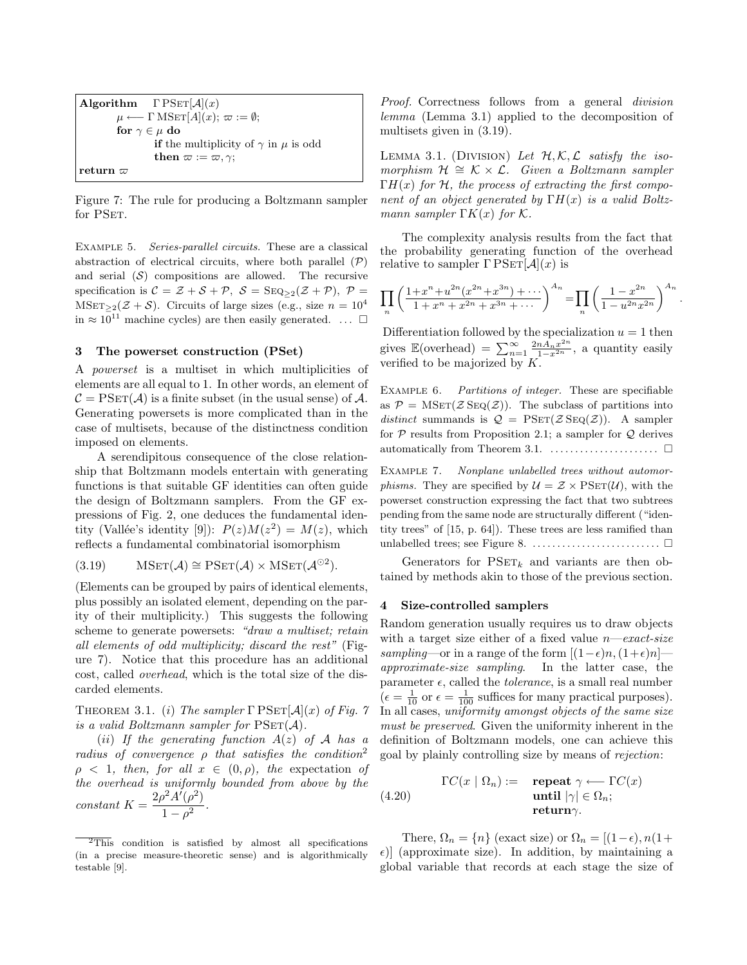```
Algorithm \Gamma PSET[\mathcal{A}](x)
            \mu \longleftarrow \Gamma \text{MSET}[A](x); \ \varpi := \emptyset;for \gamma \in \mu do
                         if the multiplicity of \gamma in \mu is odd
                         then \varpi := \varpi, \gamma;
{\rm return} \; \varpi
```
Figure 7: The rule for producing a Boltzmann sampler for PSET.

Example 5. Series-parallel circuits. These are a classical abstraction of electrical circuits, where both parallel  $(\mathcal{P})$ and serial  $(S)$  compositions are allowed. The recursive specification is  $C = \mathcal{Z} + \mathcal{S} + \mathcal{P}, \ \mathcal{S} = \text{SEQ}_{\geq 2}(\mathcal{Z} + \mathcal{P}), \ \mathcal{P} =$ MSET>2( $Z + S$ ). Circuits of large sizes (e.g., size  $n = 10^4$ ) in  $\approx 10^{11}$  machine cycles) are then easily generated. ...  $\Box$ 

## 3 The powerset construction (PSet)

A powerset is a multiset in which multiplicities of elements are all equal to 1. In other words, an element of  $\mathcal{C} = \mathrm{PSET}(\mathcal{A})$  is a finite subset (in the usual sense) of  $\mathcal{A}$ . Generating powersets is more complicated than in the case of multisets, because of the distinctness condition imposed on elements.

A serendipitous consequence of the close relationship that Boltzmann models entertain with generating functions is that suitable GF identities can often guide the design of Boltzmann samplers. From the GF expressions of Fig. 2, one deduces the fundamental identity (Vallée's identity [9]):  $P(z)M(z^2) = M(z)$ , which reflects a fundamental combinatorial isomorphism

(3.19) 
$$
\mathrm{MSET}(\mathcal{A}) \cong \mathrm{PSET}(\mathcal{A}) \times \mathrm{MSET}(\mathcal{A}^{\odot 2}).
$$

(Elements can be grouped by pairs of identical elements, plus possibly an isolated element, depending on the parity of their multiplicity.) This suggests the following scheme to generate powersets: "draw a multiset; retain all elements of odd multiplicity; discard the rest" (Figure 7). Notice that this procedure has an additional cost, called overhead, which is the total size of the discarded elements.

THEOREM 3.1. (i) The sampler  $\Gamma$  PSET[ $\mathcal{A} | (x)$  of Fig. 7 is a valid Boltzmann sampler for  $PSET(\mathcal{A})$ .

(*ii*) If the generating function  $A(z)$  of A has a radius of convergence  $\rho$  that satisfies the condition<sup>2</sup>  $\rho \langle 1, \text{ then, for all } x \in (0, \rho), \text{ the expectation of }$ the overhead is uniformly bounded from above by the constant  $K = \frac{2\rho^2 A'(\rho^2)}{1-\rho^2}$  $\frac{(p)}{1-\rho^2}$ .

Proof. Correctness follows from a general *division* lemma (Lemma 3.1) applied to the decomposition of multisets given in (3.19).

LEMMA 3.1. (DIVISION) Let  $\mathcal{H}, \mathcal{K}, \mathcal{L}$  satisfy the isomorphism  $\mathcal{H} \cong \mathcal{K} \times \mathcal{L}$ . Given a Boltzmann sampler  $\Gamma H(x)$  for H, the process of extracting the first component of an object generated by  $\Gamma H(x)$  is a valid Boltzmann sampler  $\Gamma K(x)$  for K.

The complexity analysis results from the fact that the probability generating function of the overhead relative to sampler  $\Gamma$  PSET[ $\mathcal{A}$ ](x) is

$$
\prod_{n} \left( \frac{1+x^n + u^{2n} (x^{2n} + x^{3n}) + \dots}{1+x^n + x^{2n} + x^{3n} + \dots} \right)^{A_n} = \prod_{n} \left( \frac{1-x^{2n}}{1-u^{2n} x^{2n}} \right)^{A_n}
$$

.

Differentiation followed by the specialization  $u = 1$  then gives  $\mathbb{E}(\text{overhead}) = \sum_{n=1}^{\infty} \frac{2n A_n x^{2n}}{1-x^{2n}}$ , a quantity easily verified to be majorized by  $K$ .

EXAMPLE 6. Partitions of integer. These are specifiable as  $\mathcal{P} = \text{MSET}(\mathcal{Z} \text{SEQ}(\mathcal{Z}))$ . The subclass of partitions into distinct summands is  $\mathcal{Q} = \text{PSET}(\mathcal{Z} \text{Seq}(\mathcal{Z}))$ . A sampler for  $P$  results from Proposition 2.1; a sampler for  $Q$  derives automatically from Theorem 3.1.  $\dots$ . . . . . . . . . . . . .  $\Box$ 

EXAMPLE 7. Nonplane unlabelled trees without automor*phisms.* They are specified by  $\mathcal{U} = \mathcal{Z} \times \text{PSET}(\mathcal{U})$ , with the powerset construction expressing the fact that two subtrees pending from the same node are structurally different ("identity trees" of [15, p. 64]). These trees are less ramified than unlabelled trees; see Figure 8.  $\dots$ . . . . . . . . . . . . . . . . .  $\square$ 

Generators for  $PSET_k$  and variants are then obtained by methods akin to those of the previous section.

#### 4 Size-controlled samplers

Random generation usually requires us to draw objects with a target size either of a fixed value  $n$ —exact-size sampling—or in a range of the form  $[(1-\epsilon)n,(1+\epsilon)n]$  approximate-size sampling. In the latter case, the parameter  $\epsilon$ , called the *tolerance*, is a small real number  $\left(\epsilon = \frac{1}{10} \text{ or } \epsilon = \frac{1}{100} \text{ suffices for many practical purposes}\right).$ In all cases, uniformity amongst objects of the same size must be preserved. Given the uniformity inherent in the definition of Boltzmann models, one can achieve this goal by plainly controlling size by means of rejection:

(4.20) 
$$
\Gamma C(x \mid \Omega_n) := \text{repeat } \gamma \longleftarrow \Gamma C(x)
$$
  
until  $|\gamma| \in \Omega_n$ ;  
return  $\gamma$ .

There,  $\Omega_n = \{n\}$  (exact size) or  $\Omega_n = [(1-\epsilon), n(1+\epsilon)]$  $\epsilon$ ) (approximate size). In addition, by maintaining a global variable that records at each stage the size of

 $\frac{1}{2}$ This condition is satisfied by almost all specifications (in a precise measure-theoretic sense) and is algorithmically testable [9].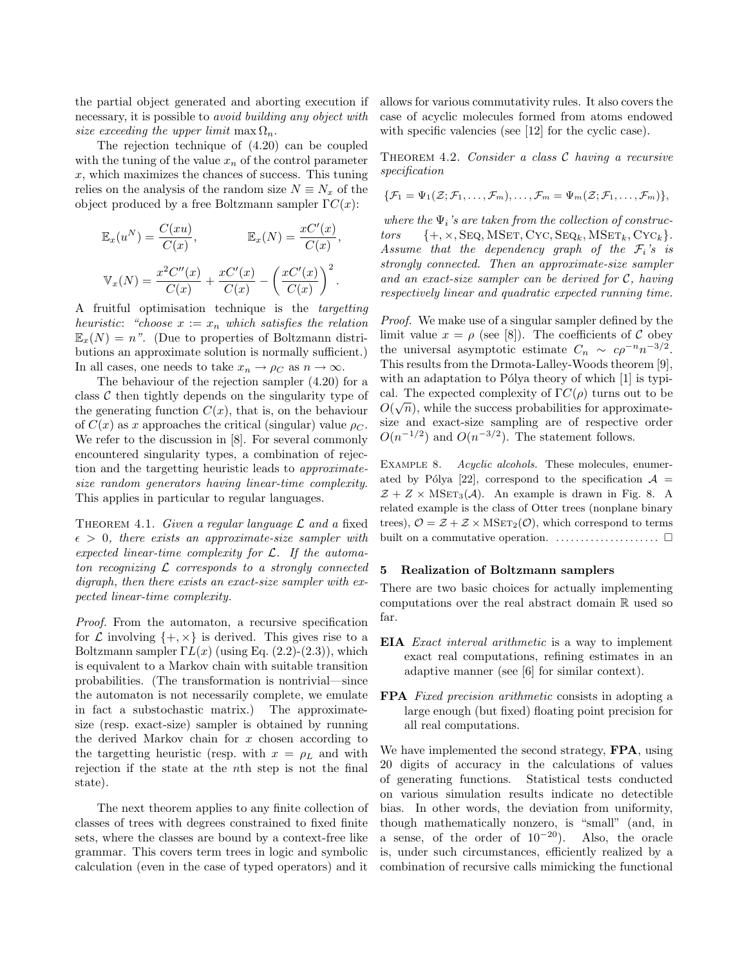the partial object generated and aborting execution if necessary, it is possible to avoid building any object with size exceeding the upper limit max  $\Omega_n$ .

The rejection technique of (4.20) can be coupled with the tuning of the value  $x_n$  of the control parameter  $x$ , which maximizes the chances of success. This tuning relies on the analysis of the random size  $N \equiv N_x$  of the object produced by a free Boltzmann sampler  $\Gamma C(x)$ :

$$
\mathbb{E}_x(u^N) = \frac{C(xu)}{C(x)}, \qquad \mathbb{E}_x(N) = \frac{xC'(x)}{C(x)},
$$

$$
\mathbb{V}_x(N) = \frac{x^2C''(x)}{C(x)} + \frac{xC'(x)}{C(x)} - \left(\frac{xC'(x)}{C(x)}\right)^2.
$$

A fruitful optimisation technique is the targetting heuristic: "choose  $x := x_n$  which satisfies the relation  $\mathbb{E}_x(N) = n$ ". (Due to properties of Boltzmann distributions an approximate solution is normally sufficient.) In all cases, one needs to take  $x_n \to \rho_C$  as  $n \to \infty$ .

The behaviour of the rejection sampler (4.20) for a class  $\mathcal C$  then tightly depends on the singularity type of the generating function  $C(x)$ , that is, on the behaviour of  $C(x)$  as x approaches the critical (singular) value  $\rho_C$ . We refer to the discussion in [8]. For several commonly encountered singularity types, a combination of rejection and the targetting heuristic leads to approximatesize random generators having linear-time complexity. This applies in particular to regular languages.

THEOREM 4.1. Given a regular language  $\mathcal L$  and a fixed  $\epsilon > 0$ , there exists an approximate-size sampler with expected linear-time complexity for  $\mathcal{L}$ . If the automaton recognizing  $\mathcal L$  corresponds to a strongly connected digraph, then there exists an exact-size sampler with expected linear-time complexity.

Proof. From the automaton, a recursive specification for  $\mathcal L$  involving  $\{+, \times\}$  is derived. This gives rise to a Boltzmann sampler  $\Gamma L(x)$  (using Eq. (2.2)-(2.3)), which is equivalent to a Markov chain with suitable transition probabilities. (The transformation is nontrivial—since the automaton is not necessarily complete, we emulate in fact a substochastic matrix.) The approximatesize (resp. exact-size) sampler is obtained by running the derived Markov chain for  $x$  chosen according to the targetting heuristic (resp. with  $x = \rho_L$  and with rejection if the state at the nth step is not the final state).

The next theorem applies to any finite collection of classes of trees with degrees constrained to fixed finite sets, where the classes are bound by a context-free like grammar. This covers term trees in logic and symbolic calculation (even in the case of typed operators) and it allows for various commutativity rules. It also covers the case of acyclic molecules formed from atoms endowed with specific valencies (see [12] for the cyclic case).

THEOREM 4.2. Consider a class  $C$  having a recursive specification

$$
\{\mathcal{F}_1=\Psi_1(\mathcal{Z};\mathcal{F}_1,\ldots,\mathcal{F}_m),\ldots,\mathcal{F}_m=\Psi_m(\mathcal{Z};\mathcal{F}_1,\ldots,\mathcal{F}_m)\},\
$$

where the  $\Psi_i$ 's are taken from the collection of constructors  $\{+, \times, \text{Seq}, \text{MSET}, \text{CYC}, \text{Seq}_k, \text{MSET}_k, \text{CYC}_k\}.$ Assume that the dependency graph of the  $\mathcal{F}_i$ 's is strongly connected. Then an approximate-size sampler and an exact-size sampler can be derived for C, having respectively linear and quadratic expected running time.

Proof. We make use of a singular sampler defined by the limit value  $x = \rho$  (see [8]). The coefficients of C obey the universal asymptotic estimate  $C_n \sim c\rho^{-n} n^{-3/2}$ . This results from the Drmota-Lalley-Woods theorem [9], with an adaptation to Pólya theory of which  $[1]$  is typical. The expected complexity of  $\Gamma C(\rho)$  turns out to be  $O(\sqrt{n})$ , while the success probabilities for approximatesize and exact-size sampling are of respective order  $O(n^{-1/2})$  and  $O(n^{-3/2})$ . The statement follows.

Example 8. Acyclic alcohols. These molecules, enumerated by Pólya [22], correspond to the specification  $\mathcal{A} =$  $Z + Z \times \text{MSET}_3(\mathcal{A})$ . An example is drawn in Fig. 8. A related example is the class of Otter trees (nonplane binary trees),  $\mathcal{O} = \mathcal{Z} + \mathcal{Z} \times \text{MSET}_2(\mathcal{O})$ , which correspond to terms built on a commutative operation.  $\dots \dots \dots \dots \dots \dots \square$ 

# 5 Realization of Boltzmann samplers

There are two basic choices for actually implementing computations over the real abstract domain R used so far.

- EIA Exact interval arithmetic is a way to implement exact real computations, refining estimates in an adaptive manner (see [6] for similar context).
- FPA Fixed precision arithmetic consists in adopting a large enough (but fixed) floating point precision for all real computations.

We have implemented the second strategy, **FPA**, using 20 digits of accuracy in the calculations of values of generating functions. Statistical tests conducted on various simulation results indicate no detectible bias. In other words, the deviation from uniformity, though mathematically nonzero, is "small" (and, in a sense, of the order of  $10^{-20}$ ). Also, the oracle is, under such circumstances, efficiently realized by a combination of recursive calls mimicking the functional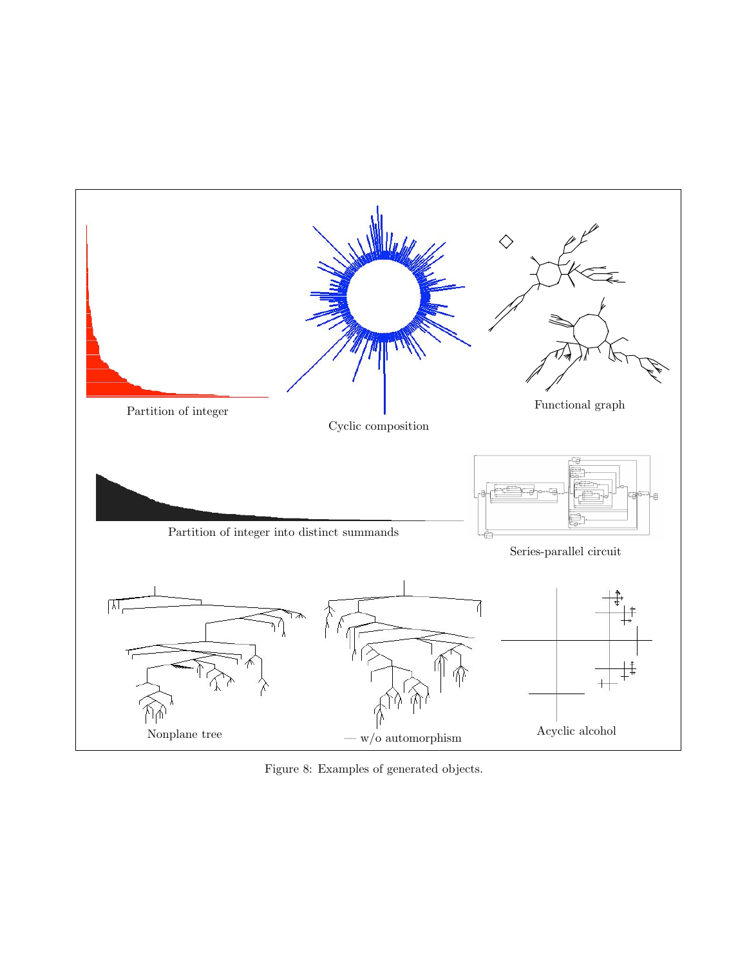

Figure 8: Examples of generated objects.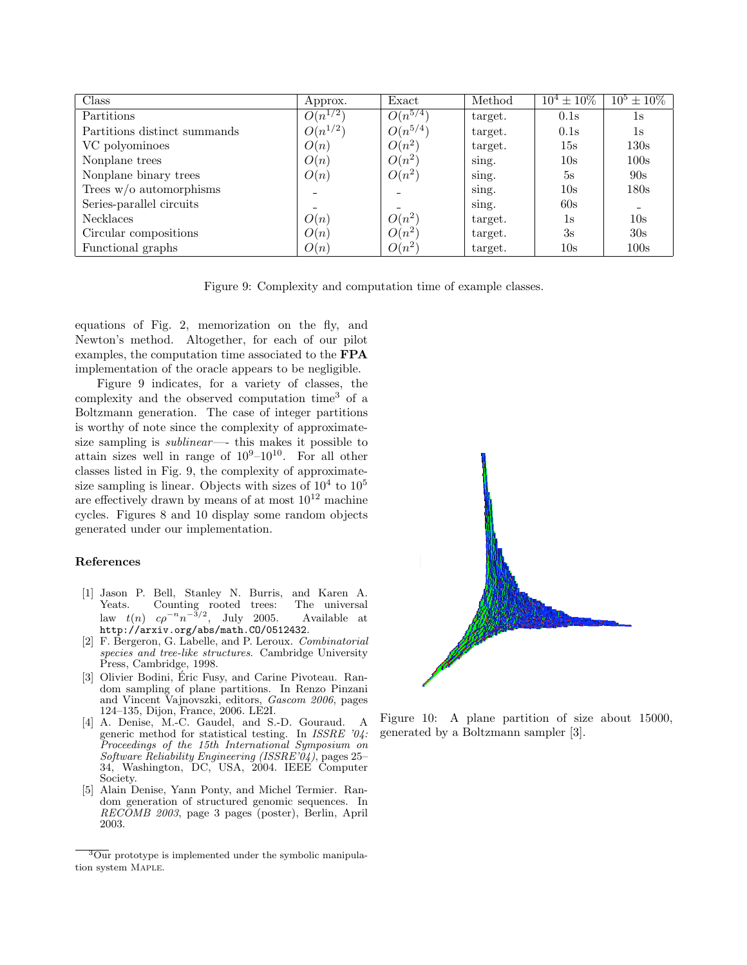| Class                        | Approx.      | Exact        | Method  | $10^4 \pm 10\%$ | $10^5 \pm 10\%$          |
|------------------------------|--------------|--------------|---------|-----------------|--------------------------|
| Partitions                   | $O(n^{1/2})$ | $O(n^{5/4})$ | target. | 0.1s            | $1\mathrm{s}$            |
| Partitions distinct summands | $O(n^{1/2})$ | $O(n^{5/4})$ | target. | 0.1s            | 1s                       |
| VC polyominoes               | O(n)         | $O(n^2)$     | target. | $15\mathrm{s}$  | 130s                     |
| Nonplane trees               | O(n)         | $O(n^2)$     | sing.   | 10s             | 100s                     |
| Nonplane binary trees        | O(n)         | $O(n^2)$     | sing.   | 5s              | 90s                      |
| Trees $w/o$ automorphisms    |              |              | sing.   | 10s             | 180s                     |
| Series-parallel circuits     |              |              | sing.   | 60s             | $\overline{\phantom{0}}$ |
| <b>Necklaces</b>             | O(n)         | $O(n^2)$     | target. | 1s              | 10s                      |
| Circular compositions        | O(n)         | $O(n^2)$     | target. | 3s              | 30s                      |
| Functional graphs            | O(n)         | $O(n^2)$     | target. | $10\mathrm{s}$  | 100s                     |

Figure 9: Complexity and computation time of example classes.

equations of Fig. 2, memorization on the fly, and Newton's method. Altogether, for each of our pilot examples, the computation time associated to the FPA implementation of the oracle appears to be negligible.

Figure 9 indicates, for a variety of classes, the complexity and the observed computation time<sup>3</sup> of a Boltzmann generation. The case of integer partitions is worthy of note since the complexity of approximatesize sampling is *sublinear*—– this makes it possible to attain sizes well in range of  $10^9-10^{10}$ . For all other classes listed in Fig. 9, the complexity of approximatesize sampling is linear. Objects with sizes of  $10^4$  to  $10^5$ are effectively drawn by means of at most  $10^{12}$  machine cycles. Figures 8 and 10 display some random objects generated under our implementation.

#### References

- [1] Jason P. Bell, Stanley N. Burris, and Karen A. Yeats. Counting rooted trees: law  $t(n)$   $c\rho^{-n}n^{-3/2}$ , July 2005. Available at http://arxiv.org/abs/math.CO/0512432.
- [2] F. Bergeron, G. Labelle, and P. Leroux. Combinatorial species and tree-like structures. Cambridge University Press, Cambridge, 1998.
- [3] Olivier Bodini, Éric Fusy, and Carine Pivoteau. Random sampling of plane partitions. In Renzo Pinzani and Vincent Vajnovszki, editors, Gascom 2006, pages 124–135, Dijon, France, 2006. LE2I.
- [4] A. Denise, M.-C. Gaudel, and S.-D. Gouraud. A generic method for statistical testing. In ISSRE '04: Proceedings of the 15th International Symposium on Software Reliability Engineering (ISSRE' $04$ ), pages 25-34, Washington, DC, USA, 2004. IEEE Computer Society.
- [5] Alain Denise, Yann Ponty, and Michel Termier. Random generation of structured genomic sequences. In RECOMB 2003, page 3 pages (poster), Berlin, April 2003.



Figure 10: A plane partition of size about 15000, generated by a Boltzmann sampler [3].

 $\overline{{}^3$ Our prototype is implemented under the symbolic manipulation system Maple.